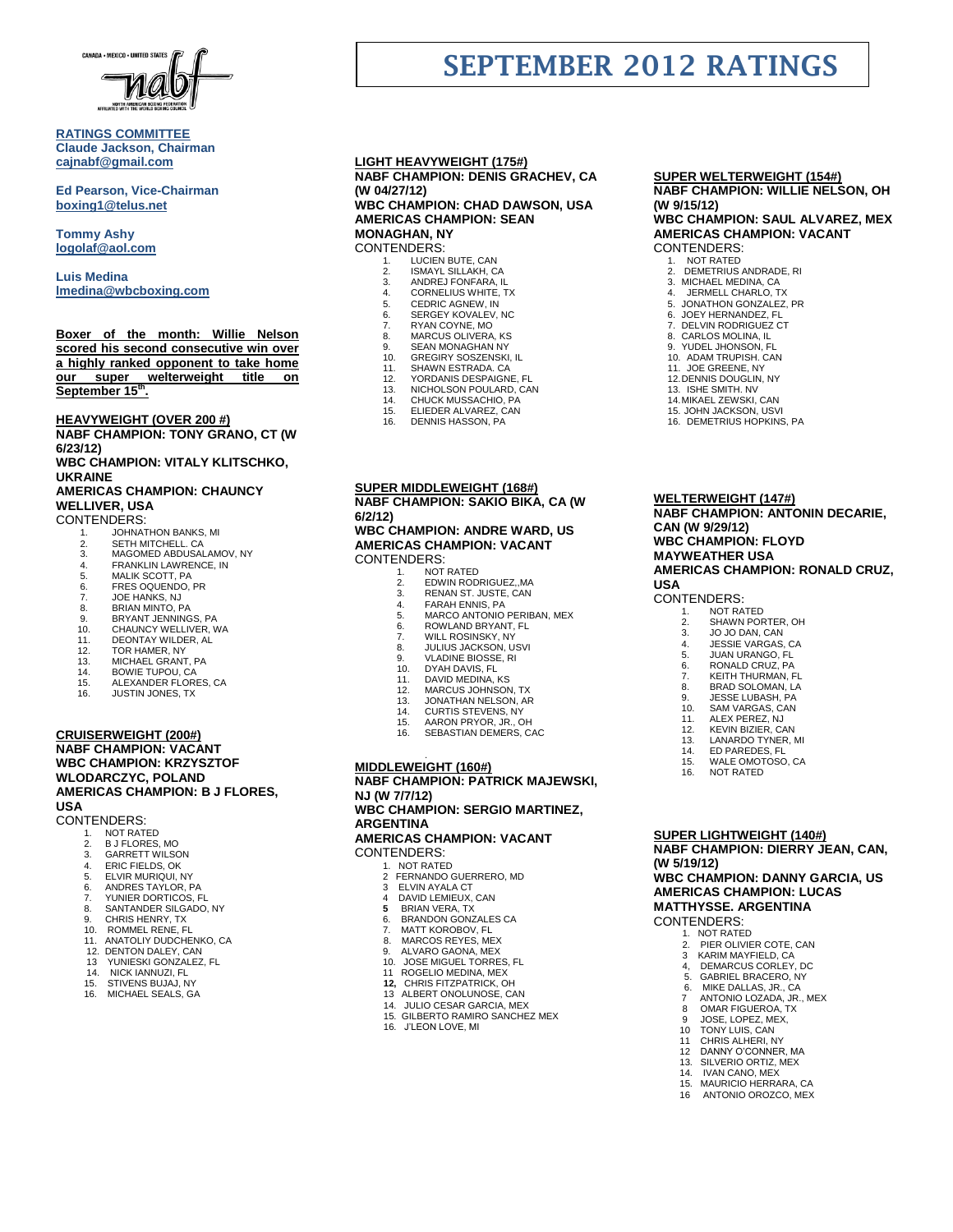

#### **RATINGS COMMITTEE Claude Jackson, Chairman [cajnabf@gmail.com](mailto:cajnabf@gmail.com)**

**Ed Pearson, Vice-Chairman boxing1@telus.net**

**Tommy Ashy [logolaf@aol.com](mailto:logolaf@aol.com)**

**Luis Medina [lmedina@wbcboxing.com](mailto:lmedina@wbcboxing.com)**

### **Boxer of the month: Willie Nelson scored his second consecutive win over a highly ranked opponent to take home our super welterweight title on September 15th .**

**HEAVYWEIGHT (OVER 200 #)**

**NABF CHAMPION: TONY GRANO, CT (W 6/23/12)** 

**WBC CHAMPION: VITALY KLITSCHKO, UKRAINE**

# **AMERICAS CHAMPION: CHAUNCY WELLIVER, USA**

CONTENDERS:

- 
- 1. JOHNATHON BANKS, MI 2. SETH MITCHELL. CA
- 3. MAGOMED ABDUSALAMOV, NY
- 4. FRANKLIN LAWRENCE, IN<br>5. MALIK SCOTT. PA
- 5. MALIK SCOTT, PA<br>6. FRES OQUENDO,
- 6. FRES OQUENDO, PR<br>7 JOE HANKS NJ 7. JOE HANKS, NJ<br>8. BRIAN MINTO, P
- 8. BRIAN MINTO, PA
- 
- 9. BRYANT JENNINGS, PA<br>10. CHAUNCY WELLIVER, V 10. CHAUNCY WELLIVER, WA<br>11. DEONTAY WILDER, AL
- 11. DEONTAY WILDER, AL<br>12 TOR HAMER NY
- 
- 12. TOR HAMER, NY<br>13. MICHAEL GRANT 13. MICHAEL GRANT, PA
- 14. BOWIE TUPOU, CA<br>15. ALEXANDER FLORI
- **ALEXANDER FLORES, CA**
- 16. JUSTIN JONES, TX

#### **CRUISERWEIGHT (200#) NABF CHAMPION: VACANT WBC CHAMPION: KRZYSZTOF WLODARCZYC, POLAND AMERICAS CHAMPION: B J FLORES, USA**

- CONTENDERS:<br>1. NOT RAT
	- 1. NOT RATED<br>2 B J ELORES
	- 2. B J FLORES, MO<br>3. GARRETT WILSO
	- 3. GARRETT WILSON
	- 4. ERIC FIELDS, OK 5. ELVIR MURIQUI, NY
	- 6. ANDRES TAYLOR, PA
	- 7. YUNIER DORTICOS, FL
	- 8. SANTANDER SILGADO, NY
	- 9. CHRIS HENRY, TX<br>10 ROMMEL RENE E
	- 10. ROMMEL RENE, FL<br>11. ANATOLIY DUDCHE
	- 11. ANATOLIY DUDCHENKO, CA
	- 12. DENTON DALEY, CAN 13 YUNIESKI GONZALEZ, FL
	-
	- 14. NICK IANNUZI, FL<br>15. STIVENS BUJAJ N
	- 15. STIVENS BUJAJ, NY<br>16. MICHAEL SEALS. G. MICHAEL SEALS, GA

# **LIGHT HEAVYWEIGHT (175#) NABF CHAMPION: DENIS GRACHEV, CA (W 04/27/12)**

**WBC CHAMPION: CHAD DAWSON, USA AMERICAS CHAMPION: SEAN MONAGHAN, NY** CONTENDERS:

- LUCIEN BUTE, CAN
- 
- 2. ISMAYL SILLAKH, CA<br>3. ANDREJ FONFARA, IL 3. ANDREJ FONFARA, IL 4. CORNELIUS WHITE, TX
- 
- 5. CEDRIC AGNEW, IN<br>6. SERGEY KOVALEV,<br>7. RYAN COYNE, MO SERGEY KOVALEV, NC
- 
- 7. RYAN COYNE, MO<br>8. MARCUS OLIVERA
- 8. MARCUS OLIVERA, KS<br>9. SEAN MONAGHAN NY
- 9. SEAN MONAGHAN NY<br>10. GREGIRY SOSZENSK GER IN MONROID IN THE
- 11. SHAWN ESTRADA. CA
- 11. SHAWN ESTIMBATOR<br>12. YORDANIS DESPAIGNE, FL<br>13. NICHOLSON POULARD. CAI
- 13. NICHOLSON POULARD, CAN 14. CHUCK MUSSACHIO, PA
- 
- 15. ELIEDER ALVAREZ, CAN
- 16. DENNIS HASSON, PA

#### **SUPER MIDDLEWEIGHT (168#) NABF CHAMPION: SAKIO BIKA, CA (W 6/2/12)**

#### **WBC CHAMPION: ANDRE WARD, US AMERICAS CHAMPION: VACANT** CONTENDERS:

- 
- 1. NOT RATED<br>2. EDWIN ROD
- 2. EDWIN RODRIGUEZ, MA<br>3. RENAN ST. JUSTE. CAN
- 3. RENAN ST. JUSTE, CAN 4. FARAH ENNIS, PA
- 
- 5. MARCO ANTONIO PERIBAN, MEX 6. ROWLAND BRYANT, FL
- **7.** WILL ROSINSKY, NY
- 8. JULIUS JACKSON, USVI 9. VLADINE BIOSSE, RI
- 
- 10. DYAH DAVIS, FL 11. DAVID MEDINA, KS
- 
- 12. MARCUS JOHNSON, TX<br>13. JONATHAN NELSON, AR
- 
- 13. JONATHAN NELSON, AR 14. CURTIS STEVENS, NY
- 15. AARON PRYOR, JR., OH 16. SEBASTIAN DEMERS, CAC
- 

#### . **MIDDLEWEIGHT (160#)**

**NABF CHAMPION: PATRICK MAJEWSKI, NJ (W 7/7/12) WBC CHAMPION: SERGIO MARTINEZ, ARGENTINA AMERICAS CHAMPION: VACANT**

# CONTENDERS:

- 1. NOT RATED 2 FERNANDO GUERRERO, MD
- 
- 3 ELVIN AYALA CT<br>4 DAVID LEMIEUX.
- 4 DAVID LEMIEUX, CAN **5** BRIAN VERA, TX
- 6. BRANDON GONZALES CA
- 7. MATT KOROBOV, FL<br>8. MARCOS REYES, ME MARCOS REYES, MEX
- 
- 9. ALVARO GAONA, MEX 10. JOSE MIGUEL TORRES, FL
- 11 ROGELIO MEDINA, MEX<br>12. CHRIS FITZPATRICK, O
- **12,** CHRIS FITZPATRICK, OH 13 ALBERT ONOLUNOSE, CAN
- 
- 14. JULIO CESAR GARCIA, MEX 15. GILBERTO RAMIRO SANCHEZ MEX
	- J'LEON LOVE, MI

#### **SUPER WELTERWEIGHT (154#) NABF CHAMPION: WILLIE NELSON, OH**

# **(W 9/15/12) WBC CHAMPION: SAUL ALVAREZ, MEX**

#### **AMERICAS CHAMPION: VACANT** CONTENDERS:

1. NOT RATED<br>2. DEMETRIUS.

**SEPTEMBER 2012 RATINGS**

2. DEMETRIUS ANDRADE, RI<br>3. MICHAEL MEDINA, CA

5. JONATHON GONZALEZ, PR 6. JOEY HERNANDEZ, FL 7. DELVIN RODRIGUEZ CT 8. CARLOS MOLINA, IL 9. YUDEL JHONSON, FL 10. ADAM TRUPISH. CAN 11. JOE GREENE, NY 12.DENNIS DOUGLIN, NY 13. ISHE SMITH. NV 14. MIKAEL ZEWSKI, CAN 15. JOHN JACKSON, USVI 16. DEMETRIUS HOPKINS, PA

3. MICHAEL MEDINA, CA 4. JERMELL CHARLO, TX

**WELTERWEIGHT (147#)**

**CAN (W 9/29/12) WBC CHAMPION: FLOYD MAYWEATHER USA**

CONTENDERS:<br>1. NOT RAY 1. NOT RATED<br>2 SHAWN POR

**USA**

**NABF CHAMPION: ANTONIN DECARIE,** 

**AMERICAS CHAMPION: RONALD CRUZ,** 

SHAWN PORTER, OH 3. JO JO DAN, CAN<br>4. JESSIE VARGAS. 4. JESSIE VARGAS, CA 5. JUAN URANGO, FL 6. **RONALD CRUZ, PA**<br>7 **KEITH THURMAN** KEITH THURMAN, FL 8. BRAD SOLOMAN, LA<br>9. JESSE LUBASH, PA 9. JESSE LUBASH, PA<br>10. SAM VARGAS CAN 10. SAM VARGAS, CAN<br>11. ALEX PEREZ, NJ 11. ALEX PEREZ, NJ<br>12. KEVIN BIZIER CA 12. KEVIN BIZIER, CAN 13. LANARDO TYNER, MI<br>14. ED PAREDES, FL 14. ED PAREDES, FL<br>15 WALE OMOTOSC 15. WALE OMOTOSO, CA<br>16. NOT RATED NOT RATED

**SUPER LIGHTWEIGHT (140#)**

2. PIER OLIVIER COTE, CAN<br>3 KARIM MAYFIELD. CA 3 KARIM MAYFIELD, CA 4, DEMARCUS CORLEY, DC 5. GABRIEL BRACERO, NY 6. MIKE DALLAS, JR., CA 7 ANTONIO LOZADA, JR., MEX

 8 OMAR FIGUEROA, TX 9 JOSE, LOPEZ, MEX, 10 TONY LUIS, CAN 11 CHRIS ALHERI, NY<br>12 DANNY O'CONNER DANNY O'CONNER, MA 13. SILVERIO ORTIZ, MEX<br>14. IVAN CANO. MEX 14. IVAN CANO, MEX<br>15. MAURICIO HERRA 15. MAURICIO HERRARA, CA<br>16. ANTONIO OROZCO MEX 16 ANTONIO OROZCO, MEX

**(W 5/19/12)**

CONTENDERS: 1. NOT RATED<br>2. PIER OLIVIE

**NABF CHAMPION: DIERRY JEAN, CAN,** 

**WBC CHAMPION: DANNY GARCIA, US AMERICAS CHAMPION: LUCAS MATTHYSSE. ARGENTINA**